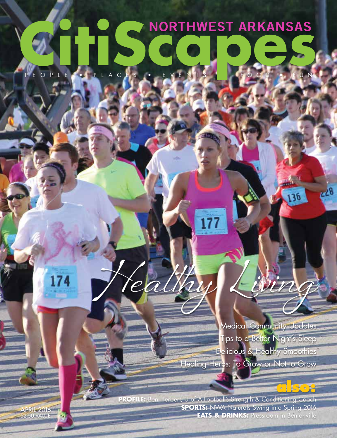# **NORTHWEST ARKANSAS** PEOPLE • PLACES • EVEN

Medical Community Updates Tips to a Better Night's Sleep Delicious & Healthy Smoothies Healing Herbs: To Grow or Not to Grow

**also:**

 $c28$ 

136

**PROFILE:** Ben Herbert, U of A Football's Strength & Conditioning Coach **SPORTS:** NWA Naturals Swing into Spring 2016 **EATS & DRINKS:** Pressroom in Bentonville

Healthy Living

APRIL 2016  $$2.50$  VALUE

174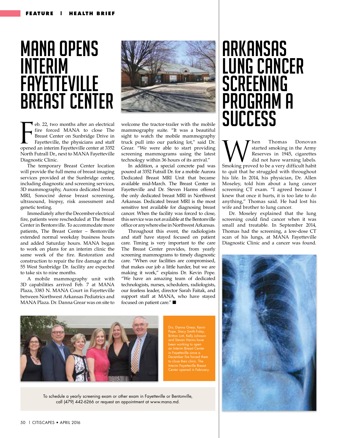# **MANA OPENS** Interim **FAYETTEVILLE BREAST CENTER**

**l** eb. 22, two months after an electrical fire forced MANA to close The Breast Center on Sunbridge Drive in Fayetteville, the physicians and staff opened an interim Fayetteville center at 3352 North Futrall Dr., next to MANA Fayetteville Diagnostic Clinic. Example 1.22, two months after an electrical welcome the tractor-trailer with the mobile<br>
fire forced MANA to close The mammography suite. "It was a beautiful<br>
Fragetteville, the physicians and staff truck pull into our pa

The temporary Breast Center location will provide the full menu of breast imaging services provided at the Sunbridge center, including diagnostic and screening services, 3D mammography, Aurora dedicated breast MRI, Sonociné dense breast screening, ultrasound, biopsy, risk assessment and genetic testing.

Immediately after the December electrical fire, patients were rescheduled at The Breast Center in Bentonville. To accommodate more patients, The Breast Center – Bentonville extended normal weekday business hours and added Saturday hours. MANA began to work on plans for an interim clinic the same week of the fire. Restoration and construction to repair the fire damage at the 55 West Sunbridge Dr. facility are expected to take six to nine months.

A mobile mammography unit with 3D capabilities arrived Feb. 7 at MANA Plaza, 3383 N. MANA Court in Fayetteville between Northwest Arkansas Pediatrics and MANA Plaza. Dr. Danna Grear was on site to



welcome the tractor-trailer with the mobile mammography suite. "It was a beautiful sight to watch the mobile mammography truck pull into our parking lot," said Dr. Grear. "We were able to start providing screening mammograms using the latest technology within 36 hours of its arrival."

In addition, a special concrete pad was poured at 3352 Futrall Dr. for a mobile Aurora Dedicated Breast MRI Unit that became available mid-March. The Breast Center in Fayetteville and Dr. Steven Harms offered the only dedicated breast MRI in Northwest Arkansas. Dedicated breast MRI is the most sensitive test available for diagnosing breast cancer. When the facility was forced to close, this service was not available at the Bentonville office or anywhere else in Northwest Arkansas.

Throughout this event, the radiologists and staff have stayed focused on patient care. Timing is very important to the care The Breast Center provides, from yearly screening mammograms to timely diagnostic care. "When our facilities are compromised, that makes our job a little harder, but we are making it work," explains Dr. Kevin Pope. "We have an amazing team of dedicated technologists, nurses, schedulers, radiologists, our fearless leader, director Sarah Faitak, and support staff at MANA, who have stayed focused on patient care." ■



. Danna Grear, Kevin a Lott, Kelly Johnson and Steven Harms have been working to open December fire forced them Interim Fayetteville Breast Center opened in February.

To schedule a yearly screening exam or other exam in Fayetteville or Bentonville, call (479) 442-6266 or request an appointment at www.mana.md.

# Arkansas Lung Cancer **SCREENING** Program a **SUCCESS**

hen Thomas Donovan started smoking in the Army Reserves in 1945, cigarettes did not have warning labels. Smoking proved to be a very difficult habit to quit that he struggled with throughout his life. In 2014, his physician, Dr. Allen Moseley, told him about a lung cancer screening CT exam. "I agreed because I knew that once it hurts, it is too late to do anything," Thomas said. He had lost his wife and brother to lung cancer.

Dr. Moseley explained that the lung screening could find cancer when it was small and treatable. In September 2014, Thomas had the screening, a low-dose CT scan of his lungs, at MANA Fayetteville Diagnostic Clinic and a cancer was found.